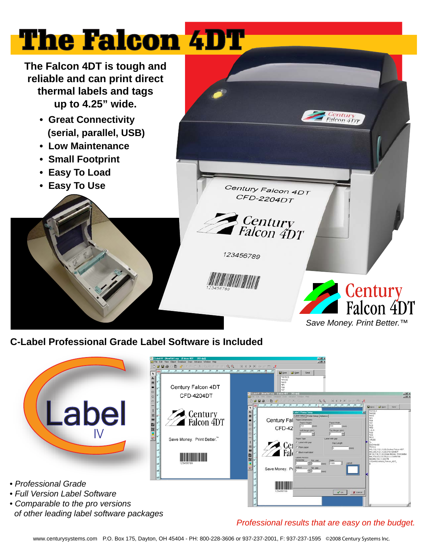## The Falcon 4DT

**The Falcon 4DT is tough and reliable and can print direct thermal labels and tags up to 4.25" wide.** 

- **Great Connectivity (serial, parallel, USB)**
- **Low Maintenance**
- **Small Footprint**
- **Easy To Load**
- **Easy To Use**





**C-Label Professional Grade Label Software is Included**



*• Comparable to the pro versions of other leading label software packages*

## *Professional results that are easy on the budget.*

www.centurysystems.com P.O. Box 175, Dayton, OH 45404 - PH: 800-228-3606 or 937-237-2001, F: 937-237-1595 ©2008 Century Systems Inc.